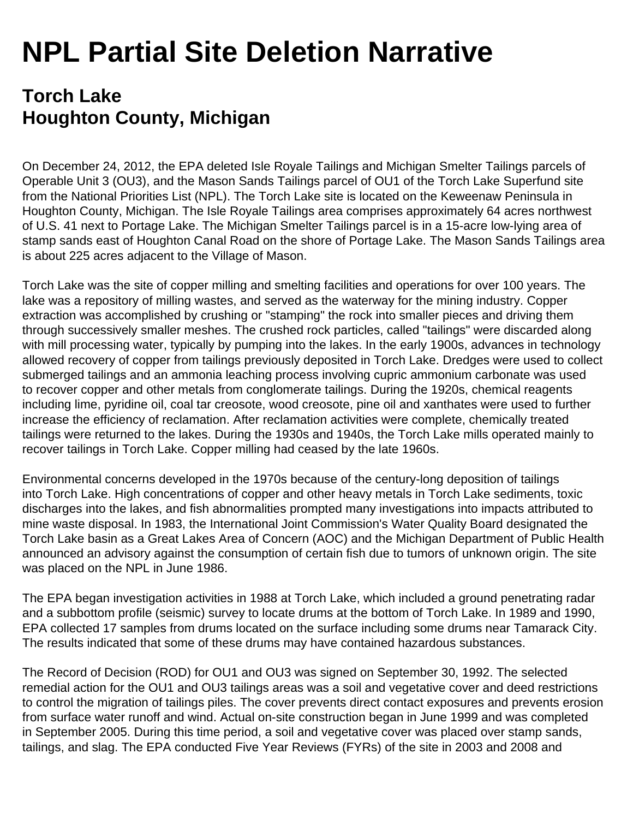## **NPL Partial Site Deletion Narrative**

## **Torch Lake Houghton County, Michigan**

On December 24, 2012, the EPA deleted Isle Royale Tailings and Michigan Smelter Tailings parcels of Operable Unit 3 (OU3), and the Mason Sands Tailings parcel of OU1 of the Torch Lake Superfund site from the National Priorities List (NPL). The Torch Lake site is located on the Keweenaw Peninsula in Houghton County, Michigan. The Isle Royale Tailings area comprises approximately 64 acres northwest of U.S. 41 next to Portage Lake. The Michigan Smelter Tailings parcel is in a 15-acre low-lying area of stamp sands east of Houghton Canal Road on the shore of Portage Lake. The Mason Sands Tailings area is about 225 acres adjacent to the Village of Mason.

Torch Lake was the site of copper milling and smelting facilities and operations for over 100 years. The lake was a repository of milling wastes, and served as the waterway for the mining industry. Copper extraction was accomplished by crushing or "stamping" the rock into smaller pieces and driving them through successively smaller meshes. The crushed rock particles, called "tailings" were discarded along with mill processing water, typically by pumping into the lakes. In the early 1900s, advances in technology allowed recovery of copper from tailings previously deposited in Torch Lake. Dredges were used to collect submerged tailings and an ammonia leaching process involving cupric ammonium carbonate was used to recover copper and other metals from conglomerate tailings. During the 1920s, chemical reagents including lime, pyridine oil, coal tar creosote, wood creosote, pine oil and xanthates were used to further increase the efficiency of reclamation. After reclamation activities were complete, chemically treated tailings were returned to the lakes. During the 1930s and 1940s, the Torch Lake mills operated mainly to recover tailings in Torch Lake. Copper milling had ceased by the late 1960s.

Environmental concerns developed in the 1970s because of the century-long deposition of tailings into Torch Lake. High concentrations of copper and other heavy metals in Torch Lake sediments, toxic discharges into the lakes, and fish abnormalities prompted many investigations into impacts attributed to mine waste disposal. In 1983, the International Joint Commission's Water Quality Board designated the Torch Lake basin as a Great Lakes Area of Concern (AOC) and the Michigan Department of Public Health announced an advisory against the consumption of certain fish due to tumors of unknown origin. The site was placed on the NPL in June 1986.

The EPA began investigation activities in 1988 at Torch Lake, which included a ground penetrating radar and a subbottom profile (seismic) survey to locate drums at the bottom of Torch Lake. In 1989 and 1990, EPA collected 17 samples from drums located on the surface including some drums near Tamarack City. The results indicated that some of these drums may have contained hazardous substances.

The Record of Decision (ROD) for OU1 and OU3 was signed on September 30, 1992. The selected remedial action for the OU1 and OU3 tailings areas was a soil and vegetative cover and deed restrictions to control the migration of tailings piles. The cover prevents direct contact exposures and prevents erosion from surface water runoff and wind. Actual on-site construction began in June 1999 and was completed in September 2005. During this time period, a soil and vegetative cover was placed over stamp sands, tailings, and slag. The EPA conducted Five Year Reviews (FYRs) of the site in 2003 and 2008 and